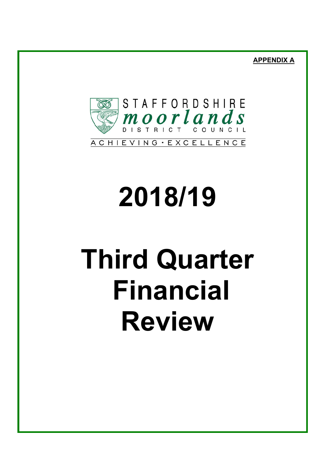**APPENDIX A**



# **2018/19**

# **Third Quarter Financial Review**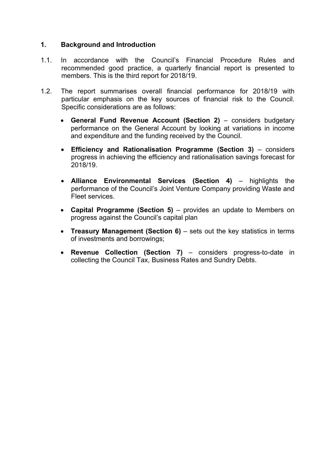# **1. Background and Introduction**

- 1.1. In accordance with the Council's Financial Procedure Rules and recommended good practice, a quarterly financial report is presented to members. This is the third report for 2018/19.
- 1.2. The report summarises overall financial performance for 2018/19 with particular emphasis on the key sources of financial risk to the Council. Specific considerations are as follows:
	- **General Fund Revenue Account (Section 2)** considers budgetary performance on the General Account by looking at variations in income and expenditure and the funding received by the Council.
	- **Efficiency and Rationalisation Programme (Section 3)** considers progress in achieving the efficiency and rationalisation savings forecast for 2018/19.
	- **Alliance Environmental Services (Section 4)** highlights the performance of the Council's Joint Venture Company providing Waste and Fleet services.
	- **Capital Programme (Section 5)** provides an update to Members on progress against the Council's capital plan
	- **Treasury Management (Section 6)** sets out the key statistics in terms of investments and borrowings;
	- **Revenue Collection (Section 7)** considers progress-to-date in collecting the Council Tax, Business Rates and Sundry Debts.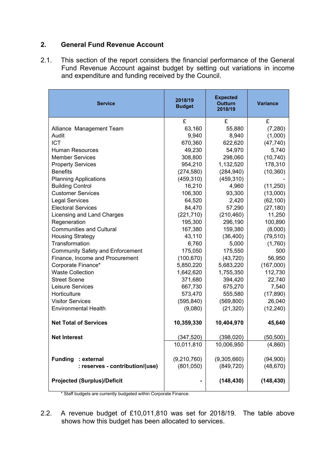# **2. General Fund Revenue Account**

2.1. This section of the report considers the financial performance of the General Fund Revenue Account against budget by setting out variations in income and expenditure and funding received by the Council.

| <b>Service</b>                          | 2018/19<br><b>Budget</b> | <b>Expected</b><br><b>Outturn</b><br>2018/19 | <b>Variance</b> |
|-----------------------------------------|--------------------------|----------------------------------------------|-----------------|
|                                         | £                        | £                                            | £               |
| Alliance Management Team                | 63,160                   | 55,880                                       | (7,280)         |
| Audit                                   | 9,940                    | 8,940                                        | (1,000)         |
| <b>ICT</b>                              | 670,360                  | 622,620                                      | (47, 740)       |
| <b>Human Resources</b>                  | 49,230                   | 54,970                                       | 5,740           |
| <b>Member Services</b>                  | 308,800                  | 298,060                                      | (10, 740)       |
| <b>Property Services</b>                | 954,210                  | 1,132,520                                    | 178,310         |
| <b>Benefits</b>                         | (274, 580)               | (284, 940)                                   | (10, 360)       |
| <b>Planning Applications</b>            | (459, 310)               | (459, 310)                                   |                 |
| <b>Building Control</b>                 | 16,210                   | 4,960                                        | (11,250)        |
| <b>Customer Services</b>                | 106,300                  | 93,300                                       | (13,000)        |
| <b>Legal Services</b>                   | 64,520                   | 2,420                                        | (62, 100)       |
| <b>Electoral Services</b>               | 84,470                   | 57,290                                       | (27, 180)       |
| Licensing and Land Charges              | (221, 710)               | (210, 460)                                   | 11,250          |
| Regeneration                            | 195,300                  | 296,190                                      | 100,890         |
| <b>Communities and Cultural</b>         | 167,380                  | 159,380                                      | (8,000)         |
| <b>Housing Strategy</b>                 | 43,110                   | (36, 400)                                    | (79, 510)       |
| Transformation                          | 6,760                    | 5,000                                        | (1,760)         |
| <b>Community Safety and Enforcement</b> | 175,050                  | 175,550                                      | 500             |
| Finance, Income and Procurement         | (100, 670)               | (43, 720)                                    | 56,950          |
| Corporate Finance*                      | 5,850,220                | 5,683,220                                    | (167,000)       |
| <b>Waste Collection</b>                 | 1,642,620                | 1,755,350                                    | 112,730         |
| <b>Street Scene</b>                     | 371,680                  | 394,420                                      | 22,740          |
| Leisure Services                        | 667,730                  | 675,270                                      | 7,540           |
| Horticulture                            | 573,470                  | 555,580                                      | (17, 890)       |
| <b>Visitor Services</b>                 | (595, 840)               | (569, 800)                                   | 26,040          |
| <b>Environmental Health</b>             | (9,080)                  | (21, 320)                                    | (12, 240)       |
| <b>Net Total of Services</b>            | 10,359,330               | 10,404,970                                   | 45,640          |
| <b>Net Interest</b>                     | (347,520)                | (398,020)                                    | (50, 500)       |
|                                         | 10,011,810               | 10,006,950                                   | (4,860)         |
|                                         |                          |                                              |                 |
| <b>Funding</b><br>: external            | (9,210,760)              | (9,305,660)                                  | (94,900)        |
| : reserves - contribution/(use)         | (801, 050)               | (849, 720)                                   | (48, 670)       |
| <b>Projected (Surplus)/Deficit</b>      |                          | (148, 430)                                   | (148, 430)      |

\* Staff budgets are currently budgeted within Corporate Finance.

2.2. A revenue budget of £10,011,810 was set for 2018/19. The table above shows how this budget has been allocated to services.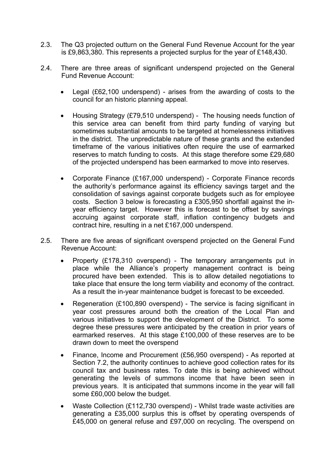- 2.3. The Q3 projected outturn on the General Fund Revenue Account for the year is £9,863,380. This represents a projected surplus for the year of £148,430.
- 2.4. There are three areas of significant underspend projected on the General Fund Revenue Account:
	- Legal (£62,100 underspend) arises from the awarding of costs to the council for an historic planning appeal.
	- Housing Strategy (£79,510 underspend) The housing needs function of this service area can benefit from third party funding of varying but sometimes substantial amounts to be targeted at homelessness initiatives in the district. The unpredictable nature of these grants and the extended timeframe of the various initiatives often require the use of earmarked reserves to match funding to costs. At this stage therefore some £29,680 of the projected underspend has been earmarked to move into reserves.
	- Corporate Finance (£167,000 underspend) Corporate Finance records the authority's performance against its efficiency savings target and the consolidation of savings against corporate budgets such as for employee costs. Section 3 below is forecasting a £305,950 shortfall against the inyear efficiency target. However this is forecast to be offset by savings accruing against corporate staff, inflation contingency budgets and contract hire, resulting in a net £167,000 underspend.
- 2.5. There are five areas of significant overspend projected on the General Fund Revenue Account:
	- Property (£178,310 overspend) The temporary arrangements put in place while the Alliance's property management contract is being procured have been extended. This is to allow detailed negotiations to take place that ensure the long term viability and economy of the contract. As a result the in-year maintenance budget is forecast to be exceeded.
	- Regeneration (£100,890 overspend) The service is facing significant in year cost pressures around both the creation of the Local Plan and various initiatives to support the development of the District. To some degree these pressures were anticipated by the creation in prior years of earmarked reserves. At this stage £100,000 of these reserves are to be drawn down to meet the overspend
	- Finance, Income and Procurement (£56,950 overspend) As reported at Section 7.2, the authority continues to achieve good collection rates for its council tax and business rates. To date this is being achieved without generating the levels of summons income that have been seen in previous years. It is anticipated that summons income in the year will fall some £60,000 below the budget.
	- Waste Collection (£112,730 overspend) Whilst trade waste activities are generating a £35,000 surplus this is offset by operating overspends of £45,000 on general refuse and £97,000 on recycling. The overspend on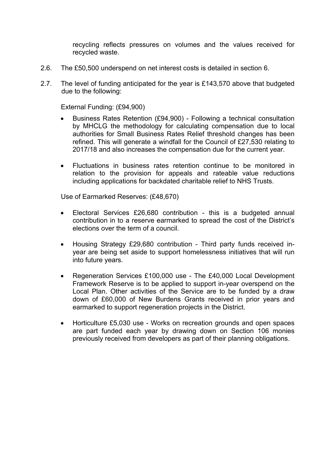recycling reflects pressures on volumes and the values received for recycled waste.

- 2.6. The £50,500 underspend on net interest costs is detailed in section 6.
- 2.7. The level of funding anticipated for the year is £143,570 above that budgeted due to the following:

External Funding: (£94,900)

- Business Rates Retention (£94,900) Following a technical consultation by MHCLG the methodology for calculating compensation due to local authorities for Small Business Rates Relief threshold changes has been refined. This will generate a windfall for the Council of £27,530 relating to 2017/18 and also increases the compensation due for the current year.
- Fluctuations in business rates retention continue to be monitored in relation to the provision for appeals and rateable value reductions including applications for backdated charitable relief to NHS Trusts.

Use of Earmarked Reserves: (£48,670)

- Electoral Services £26,680 contribution this is a budgeted annual contribution in to a reserve earmarked to spread the cost of the District's elections over the term of a council.
- Housing Strategy £29,680 contribution Third party funds received inyear are being set aside to support homelessness initiatives that will run into future years.
- Regeneration Services £100,000 use The £40,000 Local Development Framework Reserve is to be applied to support in-year overspend on the Local Plan. Other activities of the Service are to be funded by a draw down of £60,000 of New Burdens Grants received in prior years and earmarked to support regeneration projects in the District.
- Horticulture £5,030 use Works on recreation grounds and open spaces are part funded each year by drawing down on Section 106 monies previously received from developers as part of their planning obligations.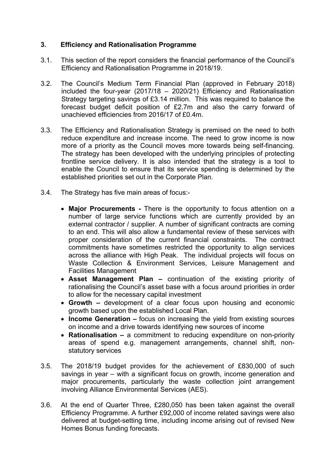# **3. Efficiency and Rationalisation Programme**

- 3.1. This section of the report considers the financial performance of the Council's Efficiency and Rationalisation Programme in 2018/19.
- 3.2. The Council's Medium Term Financial Plan (approved in February 2018) included the four-year (2017/18 – 2020/21) Efficiency and Rationalisation Strategy targeting savings of £3.14 million. This was required to balance the forecast budget deficit position of £2.7m and also the carry forward of unachieved efficiencies from 2016/17 of £0.4m.
- 3.3. The Efficiency and Rationalisation Strategy is premised on the need to both reduce expenditure and increase income. The need to grow income is now more of a priority as the Council moves more towards being self-financing. The strategy has been developed with the underlying principles of protecting frontline service delivery. It is also intended that the strategy is a tool to enable the Council to ensure that its service spending is determined by the established priorities set out in the Corporate Plan.
- 3.4. The Strategy has five main areas of focus:-
	- **Major Procurements -** There is the opportunity to focus attention on a number of large service functions which are currently provided by an external contractor / supplier. A number of significant contracts are coming to an end. This will also allow a fundamental review of these services with proper consideration of the current financial constraints. The contract commitments have sometimes restricted the opportunity to align services across the alliance with High Peak. The individual projects will focus on Waste Collection & Environment Services, Leisure Management and Facilities Management
	- **Asset Management Plan –** continuation of the existing priority of rationalising the Council's asset base with a focus around priorities in order to allow for the necessary capital investment
	- **Growth –** development of a clear focus upon housing and economic growth based upon the established Local Plan.
	- **Income Generation –** focus on increasing the yield from existing sources on income and a drive towards identifying new sources of income
	- **Rationalisation –** a commitment to reducing expenditure on non-priority areas of spend e.g. management arrangements, channel shift, nonstatutory services
- 3.5. The 2018/19 budget provides for the achievement of £830,000 of such savings in year – with a significant focus on growth, income generation and major procurements, particularly the waste collection joint arrangement involving Alliance Environmental Services (AES).
- 3.6. At the end of Quarter Three, £280,050 has been taken against the overall Efficiency Programme. A further £92,000 of income related savings were also delivered at budget-setting time, including income arising out of revised New Homes Bonus funding forecasts.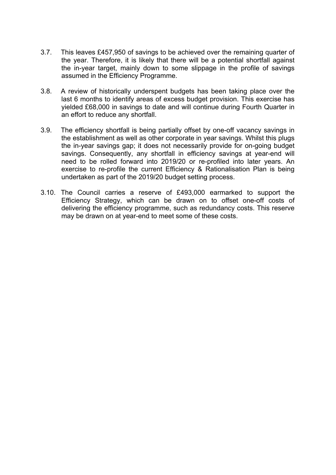- 3.7. This leaves £457,950 of savings to be achieved over the remaining quarter of the year. Therefore, it is likely that there will be a potential shortfall against the in-year target, mainly down to some slippage in the profile of savings assumed in the Efficiency Programme.
- 3.8. A review of historically underspent budgets has been taking place over the last 6 months to identify areas of excess budget provision. This exercise has yielded £68,000 in savings to date and will continue during Fourth Quarter in an effort to reduce any shortfall.
- 3.9. The efficiency shortfall is being partially offset by one-off vacancy savings in the establishment as well as other corporate in year savings. Whilst this plugs the in-year savings gap; it does not necessarily provide for on-going budget savings. Consequently, any shortfall in efficiency savings at year-end will need to be rolled forward into 2019/20 or re-profiled into later years. An exercise to re-profile the current Efficiency & Rationalisation Plan is being undertaken as part of the 2019/20 budget setting process.
- 3.10. The Council carries a reserve of £493,000 earmarked to support the Efficiency Strategy, which can be drawn on to offset one-off costs of delivering the efficiency programme, such as redundancy costs. This reserve may be drawn on at year-end to meet some of these costs.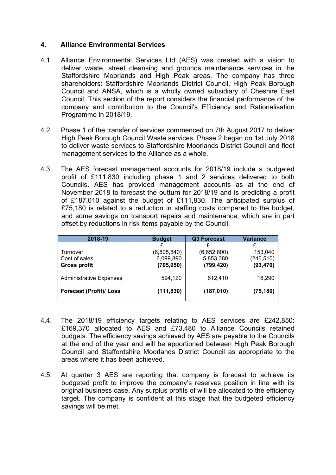# **4. Alliance Environmental Services**

- 4.1. Alliance Environmental Services Ltd (AES) was created with a vision to deliver waste, street cleansing and grounds maintenance services in the Staffordshire Moorlands and High Peak areas. The company has three shareholders: Staffordshire Moorlands District Council, High Peak Borough Council and ANSA, which is a wholly owned subsidiary of Cheshire East Council. This section of the report considers the financial performance of the company and contribution to the Council's Efficiency and Rationalisation Programme in 2018/19.
- 4.2. Phase 1 of the transfer of services commenced on 7th August 2017 to deliver High Peak Borough Council Waste services. Phase 2 began on 1st July 2018 to deliver waste services to Staffordshire Moorlands District Council and fleet management services to the Alliance as a whole.
- 4.3. The AES forecast management accounts for 2018/19 include a budgeted profit of £111,830 including phase 1 and 2 services delivered to both Councils. AES has provided management accounts as at the end of November 2018 to forecast the outturn for 2018/19 and is predicting a profit of £187,010 against the budget of £111,830. The anticipated surplus of £75,180 is related to a reduction in staffing costs compared to the budget, and some savings on transport repairs and maintenance; which are in part offset by reductions in risk items payable by the Council.

| 2018-19                        | <b>Budget</b> | <b>Q3 Forecast</b> | <b>Variance</b> |  |
|--------------------------------|---------------|--------------------|-----------------|--|
|                                |               |                    |                 |  |
| Turnover                       | (6,805,840)   | (6,652,800)        | 153,040         |  |
| Cost of sales                  | 6,099,890     | 5,853,380          | (246, 510)      |  |
| <b>Gross profit</b>            | (705, 950)    | (799, 420)         | (93, 470)       |  |
| <b>Administrative Expenses</b> | 594,120       | 612,410            | 18,290          |  |
| <b>Forecast (Profit)/ Loss</b> | (111, 830)    | (187, 010)         | (75, 180)       |  |

- 4.4. The 2018/19 efficiency targets relating to AES services are £242,850: £169,370 allocated to AES and £73,480 to Alliance Councils retained budgets. The efficiency savings achieved by AES are payable to the Councils at the end of the year and will be apportioned between High Peak Borough Council and Staffordshire Moorlands District Council as appropriate to the areas where it has been achieved.
- 4.5. At quarter 3 AES are reporting that company is forecast to achieve its budgeted profit to improve the company's reserves position in line with its original business case. Any surplus profits of will be allocated to the efficiency target. The company is confident at this stage that the budgeted efficiency savings will be met.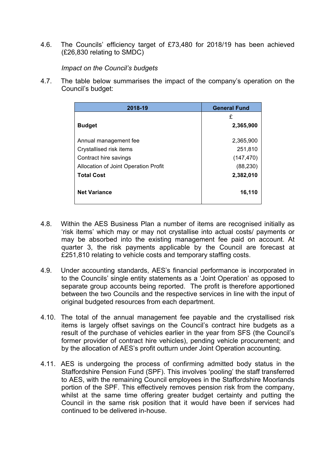4.6. The Councils' efficiency target of £73,480 for 2018/19 has been achieved (£26,830 relating to SMDC)

*Impact on the Council's budgets*

4.7. The table below summarises the impact of the company's operation on the Council's budget:

| 2018-19                              | <b>General Fund</b> |  |  |
|--------------------------------------|---------------------|--|--|
|                                      | £                   |  |  |
| <b>Budget</b>                        | 2,365,900           |  |  |
| Annual management fee                | 2,365,900           |  |  |
| Crystallised risk items              | 251,810             |  |  |
| Contract hire savings                | (147, 470)          |  |  |
| Allocation of Joint Operation Profit | (88, 230)           |  |  |
| <b>Total Cost</b>                    | 2,382,010           |  |  |
| <b>Net Variance</b>                  | 16,110              |  |  |

- 4.8. Within the AES Business Plan a number of items are recognised initially as 'risk items' which may or may not crystallise into actual costs/ payments or may be absorbed into the existing management fee paid on account. At quarter 3, the risk payments applicable by the Council are forecast at £251,810 relating to vehicle costs and temporary staffing costs.
- 4.9. Under accounting standards, AES's financial performance is incorporated in to the Councils' single entity statements as a 'Joint Operation' as opposed to separate group accounts being reported. The profit is therefore apportioned between the two Councils and the respective services in line with the input of original budgeted resources from each department.
- 4.10. The total of the annual management fee payable and the crystallised risk items is largely offset savings on the Council's contract hire budgets as a result of the purchase of vehicles earlier in the year from SFS (the Council's former provider of contract hire vehicles), pending vehicle procurement; and by the allocation of AES's profit outturn under Joint Operation accounting.
- 4.11. AES is undergoing the process of confirming admitted body status in the Staffordshire Pension Fund (SPF). This involves 'pooling' the staff transferred to AES, with the remaining Council employees in the Staffordshire Moorlands portion of the SPF. This effectively removes pension risk from the company, whilst at the same time offering greater budget certainty and putting the Council in the same risk position that it would have been if services had continued to be delivered in-house.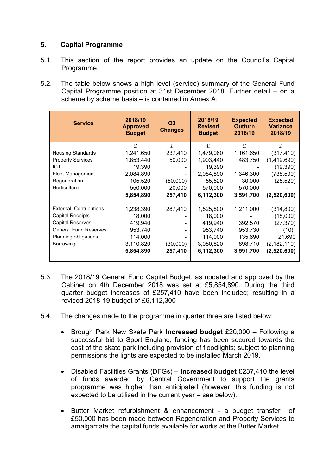# **5. Capital Programme**

- 5.1. This section of the report provides an update on the Council's Capital Programme.
- 5.2. The table below shows a high level (service) summary of the General Fund Capital Programme position at 31st December 2018. Further detail – on a scheme by scheme basis – is contained in Annex A:

| <b>Service</b>                | 2018/19<br><b>Approved</b><br><b>Budget</b> | Q <sub>3</sub><br><b>Changes</b> | 2018/19<br><b>Revised</b><br><b>Budget</b> | <b>Expected</b><br><b>Outturn</b><br>2018/19 | <b>Expected</b><br><b>Variance</b><br>2018/19 |
|-------------------------------|---------------------------------------------|----------------------------------|--------------------------------------------|----------------------------------------------|-----------------------------------------------|
|                               | £                                           | £                                | £                                          | £                                            | £                                             |
| <b>Housing Standards</b>      | 1,241,650                                   | 237,410                          | 1,479,060                                  | 1,161,650                                    | (317, 410)                                    |
| <b>Property Services</b>      | 1,853,440                                   | 50,000                           | 1,903,440                                  | 483,750                                      | (1,419,690)                                   |
| <b>ICT</b>                    | 19,390                                      |                                  | 19,390                                     |                                              | (19, 390)                                     |
| Fleet Management              | 2,084,890                                   |                                  | 2,084,890                                  | 1,346,300                                    | (738, 590)                                    |
| Regeneration                  | 105,520                                     | (50,000)                         | 55,520                                     | 30,000                                       | (25, 520)                                     |
| Horticulture                  | 550,000                                     | 20,000                           | 570,000                                    | 570,000                                      |                                               |
|                               | 5,854,890                                   | 257,410                          | 6,112,300                                  | 3,591,700                                    | (2,520,600)                                   |
| <b>External Contributions</b> | 1,238,390                                   | 287,410                          | 1,525,800                                  | 1,211,000                                    | (314, 800)                                    |
| <b>Capital Receipts</b>       | 18,000                                      |                                  | 18,000                                     |                                              | (18,000)                                      |
| <b>Capital Reserves</b>       | 419,940                                     |                                  | 419,940                                    | 392,570                                      | (27, 370)                                     |
| <b>General Fund Reserves</b>  | 953,740                                     |                                  | 953,740                                    | 953,730                                      | (10)                                          |
| Planning obligations          | 114,000                                     |                                  | 114,000                                    | 135,690                                      | 21,690                                        |
| Borrowing                     | 3,110,820                                   | (30,000)                         | 3,080,820                                  | 898,710                                      | (2, 182, 110)                                 |
|                               | 5,854,890                                   | 257,410                          | 6,112,300                                  | 3,591,700                                    | (2,520,600)                                   |

- 5.3. The 2018/19 General Fund Capital Budget, as updated and approved by the Cabinet on 4th December 2018 was set at £5,854,890. During the third quarter budget increases of £257,410 have been included; resulting in a revised 2018-19 budget of £6,112,300
- 5.4. The changes made to the programme in quarter three are listed below:
	- Brough Park New Skate Park **Increased budget** £20,000 Following a successful bid to Sport England, funding has been secured towards the cost of the skate park including provision of floodlights; subject to planning permissions the lights are expected to be installed March 2019.
	- Disabled Facilities Grants (DFGs) **Increased budget** £237,410 the level of funds awarded by Central Government to support the grants programme was higher than anticipated (however, this funding is not expected to be utilised in the current year – see below).
	- Butter Market refurbishment & enhancement a budget transfer of £50,000 has been made between Regeneration and Property Services to amalgamate the capital funds available for works at the Butter Market.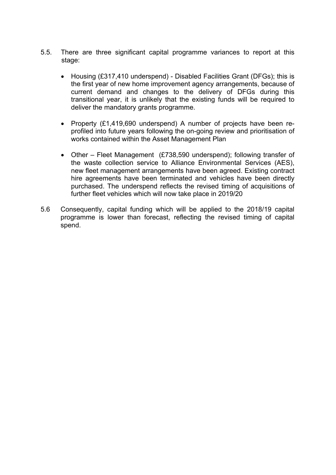- 5.5. There are three significant capital programme variances to report at this stage:
	- Housing (£317,410 underspend) Disabled Facilities Grant (DFGs); this is the first year of new home improvement agency arrangements, because of current demand and changes to the delivery of DFGs during this transitional year, it is unlikely that the existing funds will be required to deliver the mandatory grants programme.
	- Property (£1,419,690 underspend) A number of projects have been reprofiled into future years following the on-going review and prioritisation of works contained within the Asset Management Plan
	- Other Fleet Management (£738,590 underspend); following transfer of the waste collection service to Alliance Environmental Services (AES), new fleet management arrangements have been agreed. Existing contract hire agreements have been terminated and vehicles have been directly purchased. The underspend reflects the revised timing of acquisitions of further fleet vehicles which will now take place in 2019/20
- 5.6 Consequently, capital funding which will be applied to the 2018/19 capital programme is lower than forecast, reflecting the revised timing of capital spend.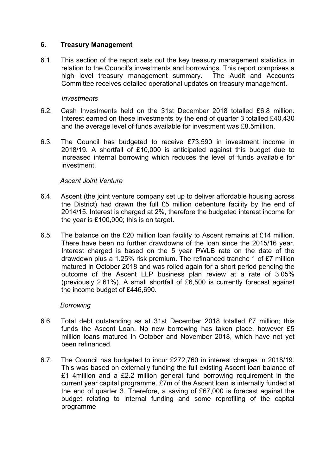#### **6. Treasury Management**

6.1. This section of the report sets out the key treasury management statistics in relation to the Council's investments and borrowings. This report comprises a high level treasury management summary. The Audit and Accounts Committee receives detailed operational updates on treasury management.

#### *Investments*

- 6.2. Cash Investments held on the 31st December 2018 totalled £6.8 million. Interest earned on these investments by the end of quarter 3 totalled £40,430 and the average level of funds available for investment was £8.5million.
- 6.3. The Council has budgeted to receive £73,590 in investment income in 2018/19. A shortfall of £10,000 is anticipated against this budget due to increased internal borrowing which reduces the level of funds available for investment.

# *Ascent Joint Venture*

- 6.4. Ascent (the joint venture company set up to deliver affordable housing across the District) had drawn the full £5 million debenture facility by the end of 2014/15. Interest is charged at 2%, therefore the budgeted interest income for the year is £100,000; this is on target.
- 6.5. The balance on the £20 million loan facility to Ascent remains at £14 million. There have been no further drawdowns of the loan since the 2015/16 year. Interest charged is based on the 5 year PWLB rate on the date of the drawdown plus a 1.25% risk premium. The refinanced tranche 1 of £7 million matured in October 2018 and was rolled again for a short period pending the outcome of the Ascent LLP business plan review at a rate of 3.05% (previously 2.61%). A small shortfall of £6,500 is currently forecast against the income budget of £446,690.

# *Borrowing*

- 6.6. Total debt outstanding as at 31st December 2018 totalled £7 million; this funds the Ascent Loan. No new borrowing has taken place, however £5 million loans matured in October and November 2018, which have not yet been refinanced.
- 6.7. The Council has budgeted to incur £272,760 in interest charges in 2018/19. This was based on externally funding the full existing Ascent loan balance of £1 4million and a £2.2 million general fund borrowing requirement in the current year capital programme. £7m of the Ascent loan is internally funded at the end of quarter 3. Therefore, a saving of £67,000 is forecast against the budget relating to internal funding and some reprofiling of the capital programme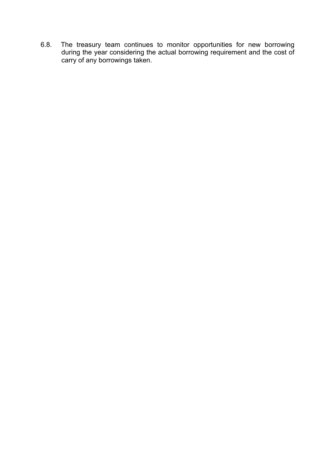6.8. The treasury team continues to monitor opportunities for new borrowing during the year considering the actual borrowing requirement and the cost of carry of any borrowings taken.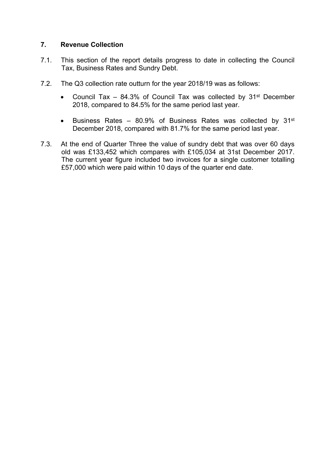# **7. Revenue Collection**

- 7.1. This section of the report details progress to date in collecting the Council Tax, Business Rates and Sundry Debt.
- 7.2. The Q3 collection rate outturn for the year 2018/19 was as follows:
	- Council Tax  $-$  84.3% of Council Tax was collected by 31<sup>st</sup> December 2018, compared to 84.5% for the same period last year.
	- **•** Business Rates 80.9% of Business Rates was collected by  $31^{st}$ December 2018, compared with 81.7% for the same period last year.
- 7.3. At the end of Quarter Three the value of sundry debt that was over 60 days old was £133,452 which compares with £105,034 at 31st December 2017. The current year figure included two invoices for a single customer totalling £57,000 which were paid within 10 days of the quarter end date.